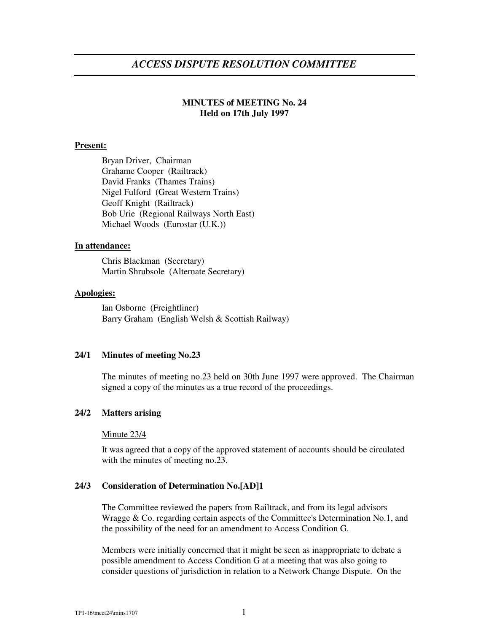# *ACCESS DISPUTE RESOLUTION COMMITTEE*

# **MINUTES of MEETING No. 24 Held on 17th July 1997**

### **Present:**

Bryan Driver, Chairman Grahame Cooper (Railtrack) David Franks (Thames Trains) Nigel Fulford (Great Western Trains) Geoff Knight (Railtrack) Bob Urie (Regional Railways North East) Michael Woods (Eurostar (U.K.))

#### **In attendance:**

Chris Blackman (Secretary) Martin Shrubsole (Alternate Secretary)

#### **Apologies:**

Ian Osborne (Freightliner) Barry Graham (English Welsh & Scottish Railway)

### **24/1 Minutes of meeting No.23**

The minutes of meeting no.23 held on 30th June 1997 were approved. The Chairman signed a copy of the minutes as a true record of the proceedings.

### **24/2 Matters arising**

#### Minute 23/4

It was agreed that a copy of the approved statement of accounts should be circulated with the minutes of meeting no.23.

### **24/3 Consideration of Determination No.[AD]1**

The Committee reviewed the papers from Railtrack, and from its legal advisors Wragge & Co. regarding certain aspects of the Committee's Determination No.1, and the possibility of the need for an amendment to Access Condition G.

Members were initially concerned that it might be seen as inappropriate to debate a possible amendment to Access Condition G at a meeting that was also going to consider questions of jurisdiction in relation to a Network Change Dispute. On the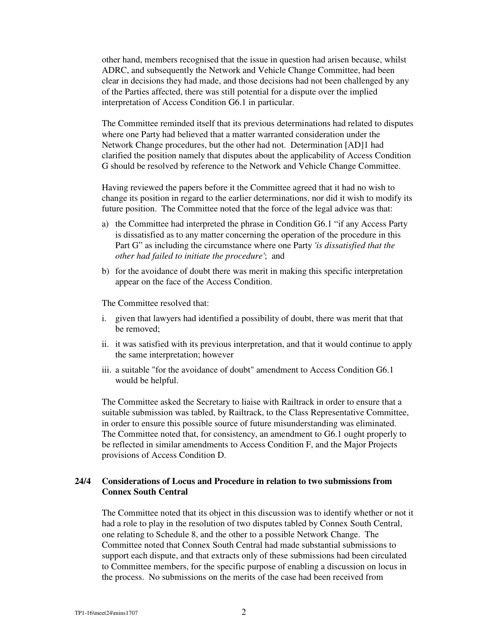other hand, members recognised that the issue in question had arisen because, whilst ADRC, and subsequently the Network and Vehicle Change Committee, had been clear in decisions they had made, and those decisions had not been challenged by any of the Parties affected, there was still potential for a dispute over the implied interpretation of Access Condition G6.1 in particular.

The Committee reminded itself that its previous determinations had related to disputes where one Party had believed that a matter warranted consideration under the Network Change procedures, but the other had not. Determination [AD]1 had clarified the position namely that disputes about the applicability of Access Condition G should be resolved by reference to the Network and Vehicle Change Committee.

Having reviewed the papers before it the Committee agreed that it had no wish to change its position in regard to the earlier determinations, nor did it wish to modify its future position. The Committee noted that the force of the legal advice was that:

- a) the Committee had interpreted the phrase in Condition G6.1 "if any Access Party is dissatisfied as to any matter concerning the operation of the procedure in this Part G" as including the circumstance where one Party *'is dissatisfied that the other had failed to initiate the procedure'*; and
- b) for the avoidance of doubt there was merit in making this specific interpretation appear on the face of the Access Condition.

The Committee resolved that:

- i. given that lawyers had identified a possibility of doubt, there was merit that that be removed;
- ii. it was satisfied with its previous interpretation, and that it would continue to apply the same interpretation; however
- iii. a suitable "for the avoidance of doubt" amendment to Access Condition G6.1 would be helpful.

The Committee asked the Secretary to liaise with Railtrack in order to ensure that a suitable submission was tabled, by Railtrack, to the Class Representative Committee, in order to ensure this possible source of future misunderstanding was eliminated. The Committee noted that, for consistency, an amendment to G6.1 ought properly to be reflected in similar amendments to Access Condition F, and the Major Projects provisions of Access Condition D.

# **24/4 Considerations of Locus and Procedure in relation to two submissions from Connex South Central**

The Committee noted that its object in this discussion was to identify whether or not it had a role to play in the resolution of two disputes tabled by Connex South Central, one relating to Schedule 8, and the other to a possible Network Change. The Committee noted that Connex South Central had made substantial submissions to support each dispute, and that extracts only of these submissions had been circulated to Committee members, for the specific purpose of enabling a discussion on locus in the process. No submissions on the merits of the case had been received from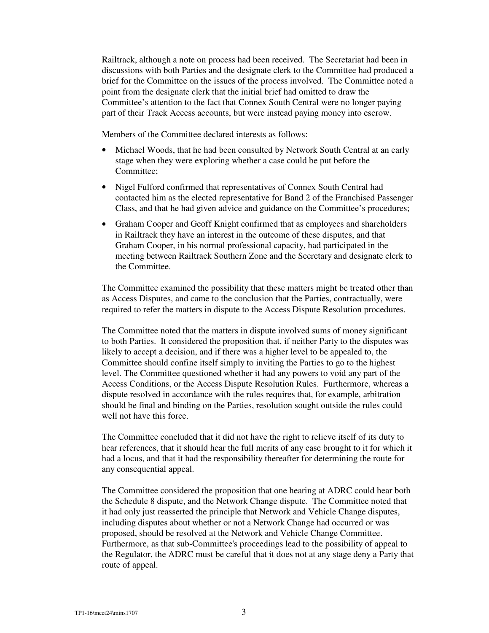Railtrack, although a note on process had been received. The Secretariat had been in discussions with both Parties and the designate clerk to the Committee had produced a brief for the Committee on the issues of the process involved. The Committee noted a point from the designate clerk that the initial brief had omitted to draw the Committee's attention to the fact that Connex South Central were no longer paying part of their Track Access accounts, but were instead paying money into escrow.

Members of the Committee declared interests as follows:

- Michael Woods, that he had been consulted by Network South Central at an early stage when they were exploring whether a case could be put before the Committee;
- Nigel Fulford confirmed that representatives of Connex South Central had contacted him as the elected representative for Band 2 of the Franchised Passenger Class, and that he had given advice and guidance on the Committee's procedures;
- Graham Cooper and Geoff Knight confirmed that as employees and shareholders in Railtrack they have an interest in the outcome of these disputes, and that Graham Cooper, in his normal professional capacity, had participated in the meeting between Railtrack Southern Zone and the Secretary and designate clerk to the Committee.

The Committee examined the possibility that these matters might be treated other than as Access Disputes, and came to the conclusion that the Parties, contractually, were required to refer the matters in dispute to the Access Dispute Resolution procedures.

The Committee noted that the matters in dispute involved sums of money significant to both Parties. It considered the proposition that, if neither Party to the disputes was likely to accept a decision, and if there was a higher level to be appealed to, the Committee should confine itself simply to inviting the Parties to go to the highest level. The Committee questioned whether it had any powers to void any part of the Access Conditions, or the Access Dispute Resolution Rules. Furthermore, whereas a dispute resolved in accordance with the rules requires that, for example, arbitration should be final and binding on the Parties, resolution sought outside the rules could well not have this force.

The Committee concluded that it did not have the right to relieve itself of its duty to hear references, that it should hear the full merits of any case brought to it for which it had a locus, and that it had the responsibility thereafter for determining the route for any consequential appeal.

The Committee considered the proposition that one hearing at ADRC could hear both the Schedule 8 dispute, and the Network Change dispute. The Committee noted that it had only just reasserted the principle that Network and Vehicle Change disputes, including disputes about whether or not a Network Change had occurred or was proposed, should be resolved at the Network and Vehicle Change Committee. Furthermore, as that sub-Committee's proceedings lead to the possibility of appeal to the Regulator, the ADRC must be careful that it does not at any stage deny a Party that route of appeal.